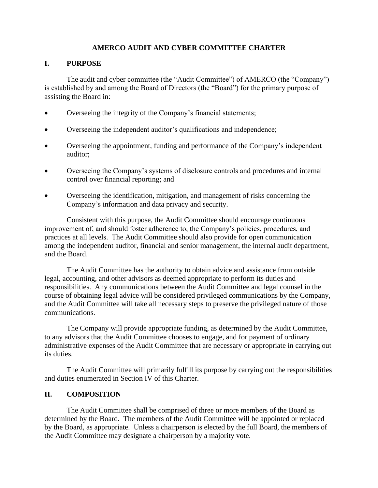### **AMERCO AUDIT AND CYBER COMMITTEE CHARTER**

### **I. PURPOSE**

The audit and cyber committee (the "Audit Committee") of AMERCO (the "Company") is established by and among the Board of Directors (the "Board") for the primary purpose of assisting the Board in:

- Overseeing the integrity of the Company's financial statements;
- Overseeing the independent auditor's qualifications and independence;
- Overseeing the appointment, funding and performance of the Company's independent auditor;
- Overseeing the Company's systems of disclosure controls and procedures and internal control over financial reporting; and
- Overseeing the identification, mitigation, and management of risks concerning the Company's information and data privacy and security.

Consistent with this purpose, the Audit Committee should encourage continuous improvement of, and should foster adherence to, the Company's policies, procedures, and practices at all levels. The Audit Committee should also provide for open communication among the independent auditor, financial and senior management, the internal audit department, and the Board.

The Audit Committee has the authority to obtain advice and assistance from outside legal, accounting, and other advisors as deemed appropriate to perform its duties and responsibilities. Any communications between the Audit Committee and legal counsel in the course of obtaining legal advice will be considered privileged communications by the Company, and the Audit Committee will take all necessary steps to preserve the privileged nature of those communications.

The Company will provide appropriate funding, as determined by the Audit Committee, to any advisors that the Audit Committee chooses to engage, and for payment of ordinary administrative expenses of the Audit Committee that are necessary or appropriate in carrying out its duties.

The Audit Committee will primarily fulfill its purpose by carrying out the responsibilities and duties enumerated in Section IV of this Charter.

### **II. COMPOSITION**

The Audit Committee shall be comprised of three or more members of the Board as determined by the Board. The members of the Audit Committee will be appointed or replaced by the Board, as appropriate. Unless a chairperson is elected by the full Board, the members of the Audit Committee may designate a chairperson by a majority vote.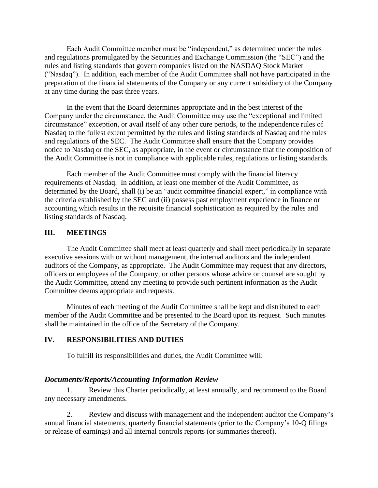Each Audit Committee member must be "independent," as determined under the rules and regulations promulgated by the Securities and Exchange Commission (the "SEC") and the rules and listing standards that govern companies listed on the NASDAQ Stock Market ("Nasdaq"). In addition, each member of the Audit Committee shall not have participated in the preparation of the financial statements of the Company or any current subsidiary of the Company at any time during the past three years.

In the event that the Board determines appropriate and in the best interest of the Company under the circumstance, the Audit Committee may use the "exceptional and limited circumstance" exception, or avail itself of any other cure periods, to the independence rules of Nasdaq to the fullest extent permitted by the rules and listing standards of Nasdaq and the rules and regulations of the SEC. The Audit Committee shall ensure that the Company provides notice to Nasdaq or the SEC, as appropriate, in the event or circumstance that the composition of the Audit Committee is not in compliance with applicable rules, regulations or listing standards.

Each member of the Audit Committee must comply with the financial literacy requirements of Nasdaq. In addition, at least one member of the Audit Committee, as determined by the Board, shall (i) be an "audit committee financial expert," in compliance with the criteria established by the SEC and (ii) possess past employment experience in finance or accounting which results in the requisite financial sophistication as required by the rules and listing standards of Nasdaq.

#### **III. MEETINGS**

The Audit Committee shall meet at least quarterly and shall meet periodically in separate executive sessions with or without management, the internal auditors and the independent auditors of the Company, as appropriate. The Audit Committee may request that any directors, officers or employees of the Company, or other persons whose advice or counsel are sought by the Audit Committee, attend any meeting to provide such pertinent information as the Audit Committee deems appropriate and requests.

Minutes of each meeting of the Audit Committee shall be kept and distributed to each member of the Audit Committee and be presented to the Board upon its request. Such minutes shall be maintained in the office of the Secretary of the Company.

### **IV. RESPONSIBILITIES AND DUTIES**

To fulfill its responsibilities and duties, the Audit Committee will:

### *Documents/Reports/Accounting Information Review*

1. Review this Charter periodically, at least annually, and recommend to the Board any necessary amendments.

2. Review and discuss with management and the independent auditor the Company's annual financial statements, quarterly financial statements (prior to the Company's 10-Q filings or release of earnings) and all internal controls reports (or summaries thereof).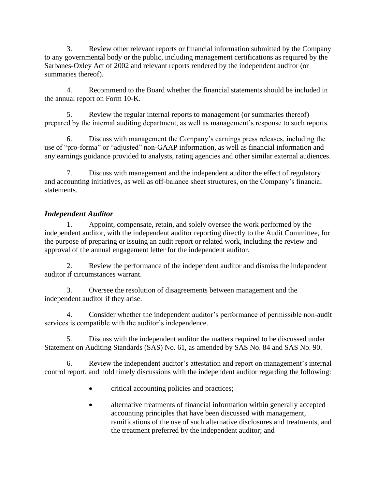3. Review other relevant reports or financial information submitted by the Company to any governmental body or the public, including management certifications as required by the Sarbanes-Oxley Act of 2002 and relevant reports rendered by the independent auditor (or summaries thereof).

4. Recommend to the Board whether the financial statements should be included in the annual report on Form 10-K.

5. Review the regular internal reports to management (or summaries thereof) prepared by the internal auditing department, as well as management's response to such reports.

6. Discuss with management the Company's earnings press releases, including the use of "pro-forma" or "adjusted" non-GAAP information, as well as financial information and any earnings guidance provided to analysts, rating agencies and other similar external audiences.

7. Discuss with management and the independent auditor the effect of regulatory and accounting initiatives, as well as off-balance sheet structures, on the Company's financial statements.

# *Independent Auditor*

Appoint, compensate, retain, and solely oversee the work performed by the independent auditor, with the independent auditor reporting directly to the Audit Committee, for the purpose of preparing or issuing an audit report or related work, including the review and approval of the annual engagement letter for the independent auditor.

2. Review the performance of the independent auditor and dismiss the independent auditor if circumstances warrant.

3. Oversee the resolution of disagreements between management and the independent auditor if they arise.

4. Consider whether the independent auditor's performance of permissible non-audit services is compatible with the auditor's independence.

5. Discuss with the independent auditor the matters required to be discussed under Statement on Auditing Standards (SAS) No. 61, as amended by SAS No. 84 and SAS No. 90.

6. Review the independent auditor's attestation and report on management's internal control report, and hold timely discussions with the independent auditor regarding the following:

- critical accounting policies and practices;
- alternative treatments of financial information within generally accepted accounting principles that have been discussed with management, ramifications of the use of such alternative disclosures and treatments, and the treatment preferred by the independent auditor; and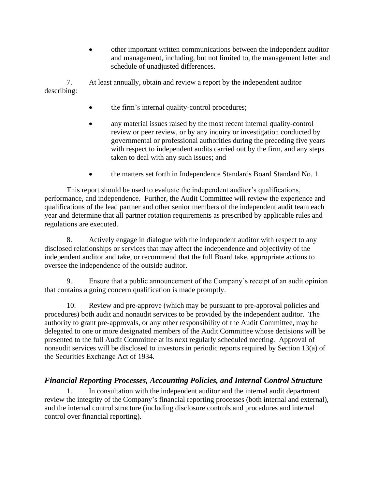• other important written communications between the independent auditor and management, including, but not limited to, the management letter and schedule of unadjusted differences.

7. At least annually, obtain and review a report by the independent auditor describing:

- the firm's internal quality-control procedures;
- any material issues raised by the most recent internal quality-control review or peer review, or by any inquiry or investigation conducted by governmental or professional authorities during the preceding five years with respect to independent audits carried out by the firm, and any steps taken to deal with any such issues; and
- the matters set forth in Independence Standards Board Standard No. 1.

This report should be used to evaluate the independent auditor's qualifications, performance, and independence. Further, the Audit Committee will review the experience and qualifications of the lead partner and other senior members of the independent audit team each year and determine that all partner rotation requirements as prescribed by applicable rules and regulations are executed.

8. Actively engage in dialogue with the independent auditor with respect to any disclosed relationships or services that may affect the independence and objectivity of the independent auditor and take, or recommend that the full Board take, appropriate actions to oversee the independence of the outside auditor.

9. Ensure that a public announcement of the Company's receipt of an audit opinion that contains a going concern qualification is made promptly.

10. Review and pre-approve (which may be pursuant to pre-approval policies and procedures) both audit and nonaudit services to be provided by the independent auditor. The authority to grant pre-approvals, or any other responsibility of the Audit Committee, may be delegated to one or more designated members of the Audit Committee whose decisions will be presented to the full Audit Committee at its next regularly scheduled meeting. Approval of nonaudit services will be disclosed to investors in periodic reports required by Section 13(a) of the Securities Exchange Act of 1934.

# *Financial Reporting Processes, Accounting Policies, and Internal Control Structure*

1. In consultation with the independent auditor and the internal audit department review the integrity of the Company's financial reporting processes (both internal and external), and the internal control structure (including disclosure controls and procedures and internal control over financial reporting).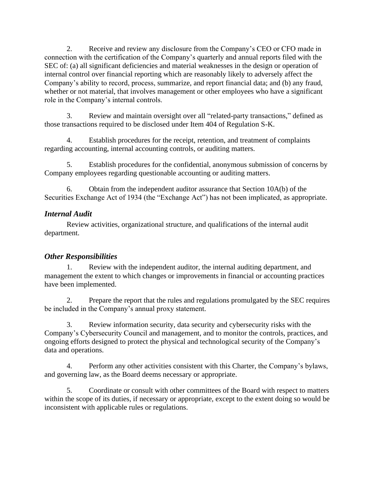2. Receive and review any disclosure from the Company's CEO or CFO made in connection with the certification of the Company's quarterly and annual reports filed with the SEC of: (a) all significant deficiencies and material weaknesses in the design or operation of internal control over financial reporting which are reasonably likely to adversely affect the Company's ability to record, process, summarize, and report financial data; and (b) any fraud, whether or not material, that involves management or other employees who have a significant role in the Company's internal controls.

3. Review and maintain oversight over all "related-party transactions," defined as those transactions required to be disclosed under Item 404 of Regulation S-K.

4. Establish procedures for the receipt, retention, and treatment of complaints regarding accounting, internal accounting controls, or auditing matters.

5. Establish procedures for the confidential, anonymous submission of concerns by Company employees regarding questionable accounting or auditing matters.

6. Obtain from the independent auditor assurance that Section 10A(b) of the Securities Exchange Act of 1934 (the "Exchange Act") has not been implicated, as appropriate.

# *Internal Audit*

Review activities, organizational structure, and qualifications of the internal audit department.

# *Other Responsibilities*

1. Review with the independent auditor, the internal auditing department, and management the extent to which changes or improvements in financial or accounting practices have been implemented.

2. Prepare the report that the rules and regulations promulgated by the SEC requires be included in the Company's annual proxy statement.

3. Review information security, data security and cybersecurity risks with the Company's Cybersecurity Council and management, and to monitor the controls, practices, and ongoing efforts designed to protect the physical and technological security of the Company's data and operations.

4. Perform any other activities consistent with this Charter, the Company's bylaws, and governing law, as the Board deems necessary or appropriate.

5. Coordinate or consult with other committees of the Board with respect to matters within the scope of its duties, if necessary or appropriate, except to the extent doing so would be inconsistent with applicable rules or regulations.